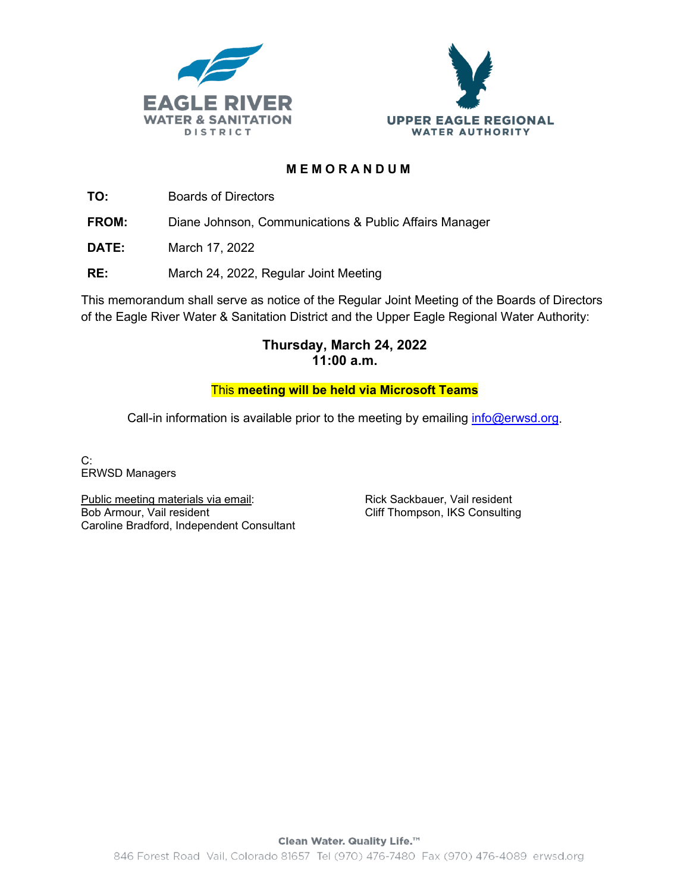



### **MEMORANDUM**

**TO:** Boards of Directors

**FROM:** Diane Johnson, Communications & Public Affairs Manager

**DATE:** March 17, 2022

**RE:** March 24, 2022, Regular Joint Meeting

This memorandum shall serve as notice of the Regular Joint Meeting of the Boards of Directors of the Eagle River Water & Sanitation District and the Upper Eagle Regional Water Authority:

# **Thursday, March 24, 2022 11:00 a.m.**

### This **meeting will be held via Microsoft Teams**

Call-in information is available prior to the meeting by emailing  $info@erwd.org$ .

C: ERWSD Managers

Public meeting materials via email: Bob Armour, Vail resident Caroline Bradford, Independent Consultant Rick Sackbauer, Vail resident Cliff Thompson, IKS Consulting